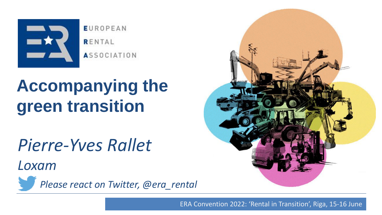

**EUROPEAN** RENTAL **ASSOCIATION** 

# **Accompanying the green transition**

*Pierre-Yves Rallet*

*Loxam*



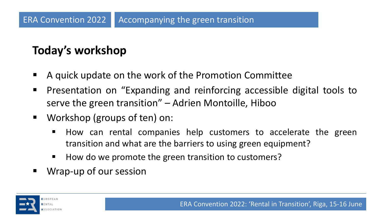## **Today's workshop**

- A quick update on the work of the Promotion Committee
- Presentation on "Expanding and reinforcing accessible digital tools to serve the green transition" – Adrien Montoille, Hiboo
- Workshop (groups of ten) on:
	- How can rental companies help customers to accelerate the green transition and what are the barriers to using green equipment?
	- How do we promote the green transition to customers?
- Wrap-up of our session

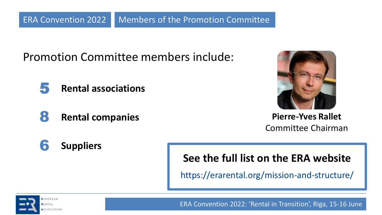Promotion Committee members include:

- 5 **Rental associations**
- 8 **Rental companies**



**Pierre-Yves Rallet** Committee Chairman

6 **Suppliers**

**See the full list on the ERA website**

https://erarental.org/mission-and-structure/

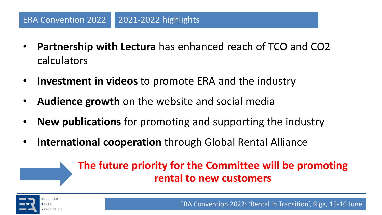- **Partnership with Lectura** has enhanced reach of TCO and CO2 calculators
- **Investment in videos** to promote ERA and the industry
- **Audience growth** on the website and social media
- **New publications** for promoting and supporting the industry
- **International cooperation** through Global Rental Alliance

### **The future priority for the Committee will be promoting rental to new customers**

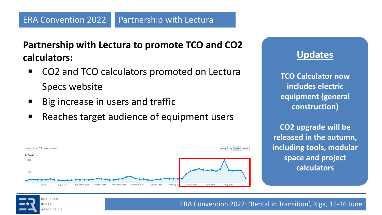**Partnership with Lectura to promote TCO and CO2 calculators:**

- CO2 and TCO calculators promoted on Lectura Specs website
- Big increase in users and traffic
- Reaches target audience of equipment users



#### **Updates**

**TCO Calculator now includes electric equipment (general construction)**

**CO2 upgrade will be released in the autumn, including tools, modular space and project calculators** 

UROPEAN SSOCIATION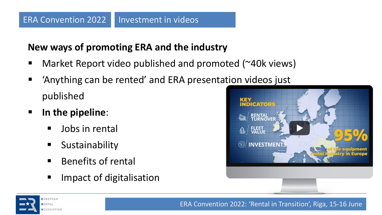#### **New ways of promoting ERA and the industry**

- Market Report video published and promoted ( $\approx$ 40k views)
- Anything can be rented and ERA presentation videos just published
- **In the pipeline**:
	- Jobs in rental
	- Sustainability
	- Benefits of rental
	- Impact of digitalisation



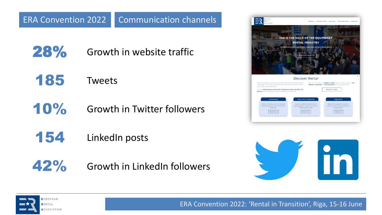- 28% Growth in website traffic
- 185 Tweets
- 10% Growth in Twitter followers
- 154 LinkedIn posts
- 42% Growth in LinkedIn followers





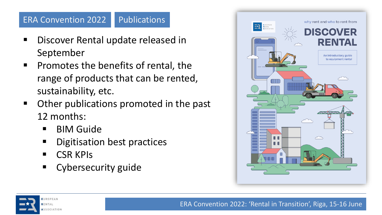#### Publications ERA Convention 2022

- Discover Rental update released in September
- Promotes the benefits of rental, the range of products that can be rented, sustainability, etc.
- Other publications promoted in the past 12 months:
	- BIM Guide
	- Digitisation best practices
	- CSR KPIs
	- Cybersecurity guide



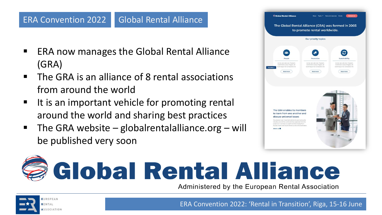#### Global Rental Alliance ERA Convention 2022

- ERA now manages the Global Rental Alliance (GRA)
- The GRA is an alliance of 8 rental associations from around the world
- It is an important vehicle for promoting rental around the world and sharing best practices
- **•** The GRA website globalrentalalliance.org will be published very soon





Administered by the European Rental Association



EUROPEAN SSOCIATION